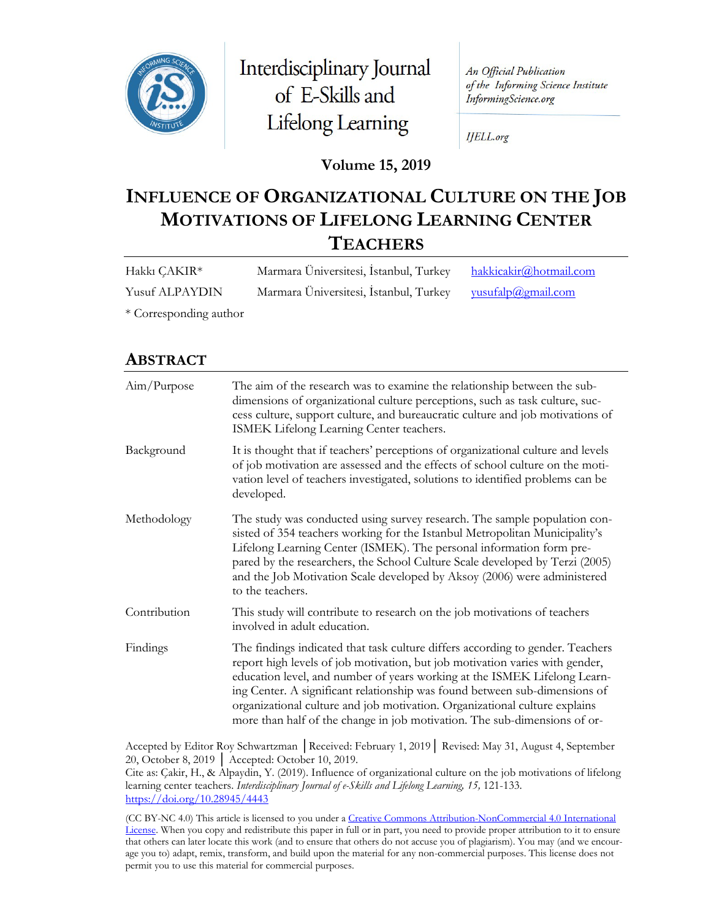

Interdisciplinary Journal of E-Skills and Lifelong Learning

An Official Publication of the Informing Science Institute InformingScience.org

**IJELL.org** 

### **Volume 15, 2019**

# **INFLUENCE OF ORGANIZATIONAL CULTURE ON THE JOB MOTIVATIONS OF LIFELONG LEARNING CENTER TEACHERS**

| Hakkı ÇAKIR*          | Marmara Üniversitesi, İstanbul, Turkey                    | hakkicakir@hotmail.com |
|-----------------------|-----------------------------------------------------------|------------------------|
| <b>Yusuf ALPAYDIN</b> | Marmara Üniversitesi, İstanbul, Turkey vusufalp@gmail.com |                        |
|                       |                                                           |                        |

\* Corresponding author

### **ABSTRACT**

| Aim/Purpose  | The aim of the research was to examine the relationship between the sub-<br>dimensions of organizational culture perceptions, such as task culture, suc-<br>cess culture, support culture, and bureaucratic culture and job motivations of<br>ISMEK Lifelong Learning Center teachers.                                                                                                                                                                                               |
|--------------|--------------------------------------------------------------------------------------------------------------------------------------------------------------------------------------------------------------------------------------------------------------------------------------------------------------------------------------------------------------------------------------------------------------------------------------------------------------------------------------|
| Background   | It is thought that if teachers' perceptions of organizational culture and levels<br>of job motivation are assessed and the effects of school culture on the moti-<br>vation level of teachers investigated, solutions to identified problems can be<br>developed.                                                                                                                                                                                                                    |
| Methodology  | The study was conducted using survey research. The sample population con-<br>sisted of 354 teachers working for the Istanbul Metropolitan Municipality's<br>Lifelong Learning Center (ISMEK). The personal information form pre-<br>pared by the researchers, the School Culture Scale developed by Terzi (2005)<br>and the Job Motivation Scale developed by Aksoy (2006) were administered<br>to the teachers.                                                                     |
| Contribution | This study will contribute to research on the job motivations of teachers<br>involved in adult education.                                                                                                                                                                                                                                                                                                                                                                            |
| Findings     | The findings indicated that task culture differs according to gender. Teachers<br>report high levels of job motivation, but job motivation varies with gender,<br>education level, and number of years working at the ISMEK Lifelong Learn-<br>ing Center. A significant relationship was found between sub-dimensions of<br>organizational culture and job motivation. Organizational culture explains<br>more than half of the change in job motivation. The sub-dimensions of or- |

Accepted by Editor Roy Schwartzman │Received: February 1, 2019│ Revised: May 31, August 4, September 20, October 8, 2019 │ Accepted: October 10, 2019.

Cite as: Çakir, H., & Alpaydin, Y. (2019). Influence of organizational culture on the job motivations of lifelong learning center teachers. *Interdisciplinary Journal of e-Skills and Lifelong Learning, 15,* 121-133. <https://doi.org/10.28945/4443>

(CC BY-NC 4.0) This article is licensed to you under a Creative Commons Attribution-[NonCommercial 4.0 International](https://creativecommons.org/licenses/by-nc/4.0/)  [License.](https://creativecommons.org/licenses/by-nc/4.0/) When you copy and redistribute this paper in full or in part, you need to provide proper attribution to it to ensure that others can later locate this work (and to ensure that others do not accuse you of plagiarism). You may (and we encourage you to) adapt, remix, transform, and build upon the material for any non-commercial purposes. This license does not permit you to use this material for commercial purposes.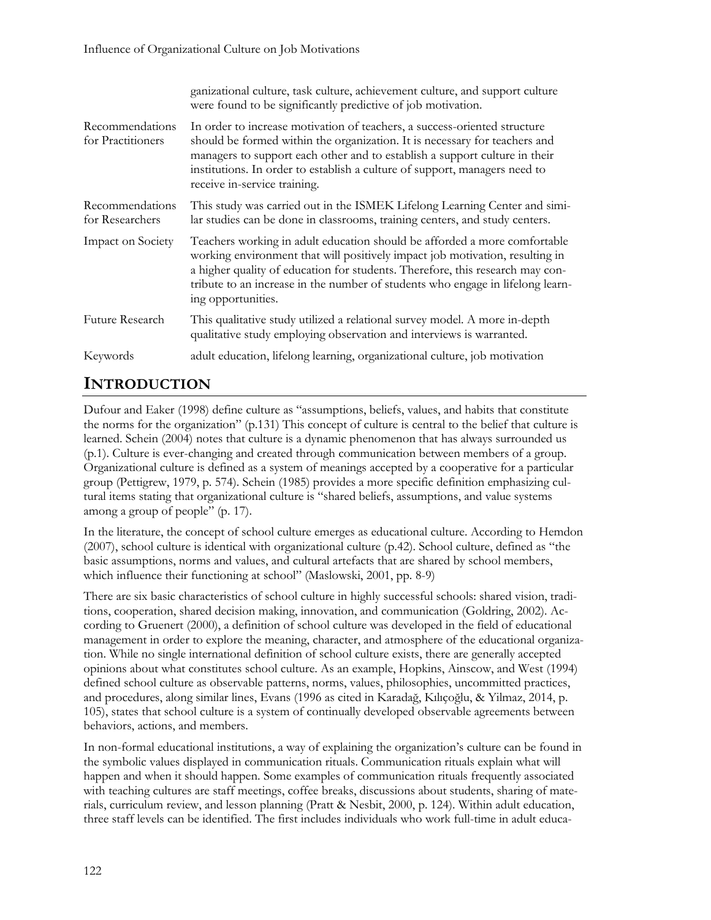|                                      | ganizational culture, task culture, achievement culture, and support culture<br>were found to be significantly predictive of job motivation.                                                                                                                                                                                                        |
|--------------------------------------|-----------------------------------------------------------------------------------------------------------------------------------------------------------------------------------------------------------------------------------------------------------------------------------------------------------------------------------------------------|
| Recommendations<br>for Practitioners | In order to increase motivation of teachers, a success-oriented structure<br>should be formed within the organization. It is necessary for teachers and<br>managers to support each other and to establish a support culture in their<br>institutions. In order to establish a culture of support, managers need to<br>receive in-service training. |
| Recommendations<br>for Researchers   | This study was carried out in the ISMEK Lifelong Learning Center and simi-<br>lar studies can be done in classrooms, training centers, and study centers.                                                                                                                                                                                           |
| Impact on Society                    | Teachers working in adult education should be afforded a more comfortable<br>working environment that will positively impact job motivation, resulting in<br>a higher quality of education for students. Therefore, this research may con-<br>tribute to an increase in the number of students who engage in lifelong learn-<br>ing opportunities.  |
| Future Research                      | This qualitative study utilized a relational survey model. A more in-depth<br>qualitative study employing observation and interviews is warranted.                                                                                                                                                                                                  |
| Keywords                             | adult education, lifelong learning, organizational culture, job motivation                                                                                                                                                                                                                                                                          |

# **INTRODUCTION**

Dufour and Eaker (1998) define culture as "assumptions, beliefs, values, and habits that constitute the norms for the organization" (p.131) This concept of culture is central to the belief that culture is learned. Schein (2004) notes that culture is a dynamic phenomenon that has always surrounded us (p.1). Culture is ever-changing and created through communication between members of a group. Organizational culture is defined as a system of meanings accepted by a cooperative for a particular group (Pettigrew, 1979, p. 574). Schein (1985) provides a more specific definition emphasizing cultural items stating that organizational culture is "shared beliefs, assumptions, and value systems among a group of people" (p. 17).

In the literature, the concept of school culture emerges as educational culture. According to Hemdon (2007), school culture is identical with organizational culture (p.42). School culture, defined as "the basic assumptions, norms and values, and cultural artefacts that are shared by school members, which influence their functioning at school" (Maslowski, 2001, pp. 8-9)

There are six basic characteristics of school culture in highly successful schools: shared vision, traditions, cooperation, shared decision making, innovation, and communication (Goldring, 2002). According to Gruenert (2000), a definition of school culture was developed in the field of educational management in order to explore the meaning, character, and atmosphere of the educational organization. While no single international definition of school culture exists, there are generally accepted opinions about what constitutes school culture. As an example, Hopkins, Ainscow, and West (1994) defined school culture as observable patterns, norms, values, philosophies, uncommitted practices, and procedures, along similar lines, Evans (1996 as cited in Karadağ, Kılıçoğlu, & Yilmaz, 2014, p. 105), states that school culture is a system of continually developed observable agreements between behaviors, actions, and members.

In non-formal educational institutions, a way of explaining the organization's culture can be found in the symbolic values displayed in communication rituals. Communication rituals explain what will happen and when it should happen. Some examples of communication rituals frequently associated with teaching cultures are staff meetings, coffee breaks, discussions about students, sharing of materials, curriculum review, and lesson planning (Pratt & Nesbit, 2000, p. 124). Within adult education, three staff levels can be identified. The first includes individuals who work full-time in adult educa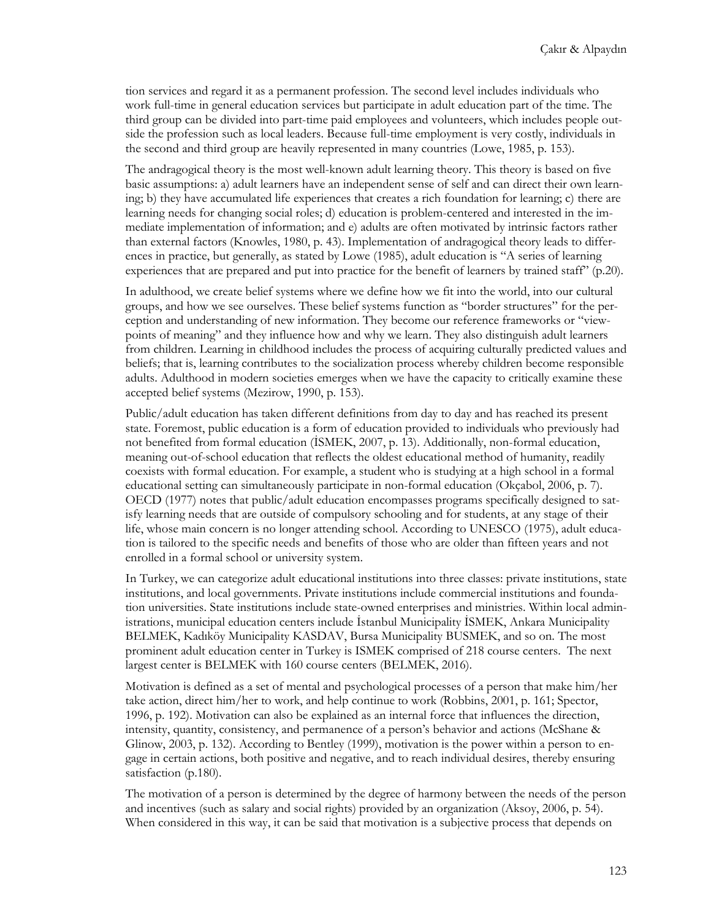tion services and regard it as a permanent profession. The second level includes individuals who work full-time in general education services but participate in adult education part of the time. The third group can be divided into part-time paid employees and volunteers, which includes people outside the profession such as local leaders. Because full-time employment is very costly, individuals in the second and third group are heavily represented in many countries (Lowe, 1985, p. 153).

The andragogical theory is the most well-known adult learning theory. This theory is based on five basic assumptions: a) adult learners have an independent sense of self and can direct their own learning; b) they have accumulated life experiences that creates a rich foundation for learning; c) there are learning needs for changing social roles; d) education is problem-centered and interested in the immediate implementation of information; and e) adults are often motivated by intrinsic factors rather than external factors (Knowles, 1980, p. 43). Implementation of andragogical theory leads to differences in practice, but generally, as stated by Lowe (1985), adult education is "A series of learning experiences that are prepared and put into practice for the benefit of learners by trained staff" (p.20).

In adulthood, we create belief systems where we define how we fit into the world, into our cultural groups, and how we see ourselves. These belief systems function as "border structures" for the perception and understanding of new information. They become our reference frameworks or "viewpoints of meaning" and they influence how and why we learn. They also distinguish adult learners from children. Learning in childhood includes the process of acquiring culturally predicted values and beliefs; that is, learning contributes to the socialization process whereby children become responsible adults. Adulthood in modern societies emerges when we have the capacity to critically examine these accepted belief systems (Mezirow, 1990, p. 153).

Public/adult education has taken different definitions from day to day and has reached its present state. Foremost, public education is a form of education provided to individuals who previously had not benefited from formal education (İSMEK, 2007, p. 13). Additionally, non-formal education, meaning out-of-school education that reflects the oldest educational method of humanity, readily coexists with formal education. For example, a student who is studying at a high school in a formal educational setting can simultaneously participate in non-formal education (Okçabol, 2006, p. 7). OECD (1977) notes that public/adult education encompasses programs specifically designed to satisfy learning needs that are outside of compulsory schooling and for students, at any stage of their life, whose main concern is no longer attending school. According to UNESCO (1975), adult education is tailored to the specific needs and benefits of those who are older than fifteen years and not enrolled in a formal school or university system.

In Turkey, we can categorize adult educational institutions into three classes: private institutions, state institutions, and local governments. Private institutions include commercial institutions and foundation universities. State institutions include state-owned enterprises and ministries. Within local administrations, municipal education centers include İstanbul Municipality İSMEK, Ankara Municipality BELMEK, Kadıköy Municipality KASDAV, Bursa Municipality BUSMEK, and so on. The most prominent adult education center in Turkey is ISMEK comprised of 218 course centers. The next largest center is BELMEK with 160 course centers (BELMEK, 2016).

Motivation is defined as a set of mental and psychological processes of a person that make him/her take action, direct him/her to work, and help continue to work (Robbins, 2001, p. 161; Spector, 1996, p. 192). Motivation can also be explained as an internal force that influences the direction, intensity, quantity, consistency, and permanence of a person's behavior and actions (McShane & Glinow, 2003, p. 132). According to Bentley (1999), motivation is the power within a person to engage in certain actions, both positive and negative, and to reach individual desires, thereby ensuring satisfaction (p.180).

The motivation of a person is determined by the degree of harmony between the needs of the person and incentives (such as salary and social rights) provided by an organization (Aksoy, 2006, p. 54). When considered in this way, it can be said that motivation is a subjective process that depends on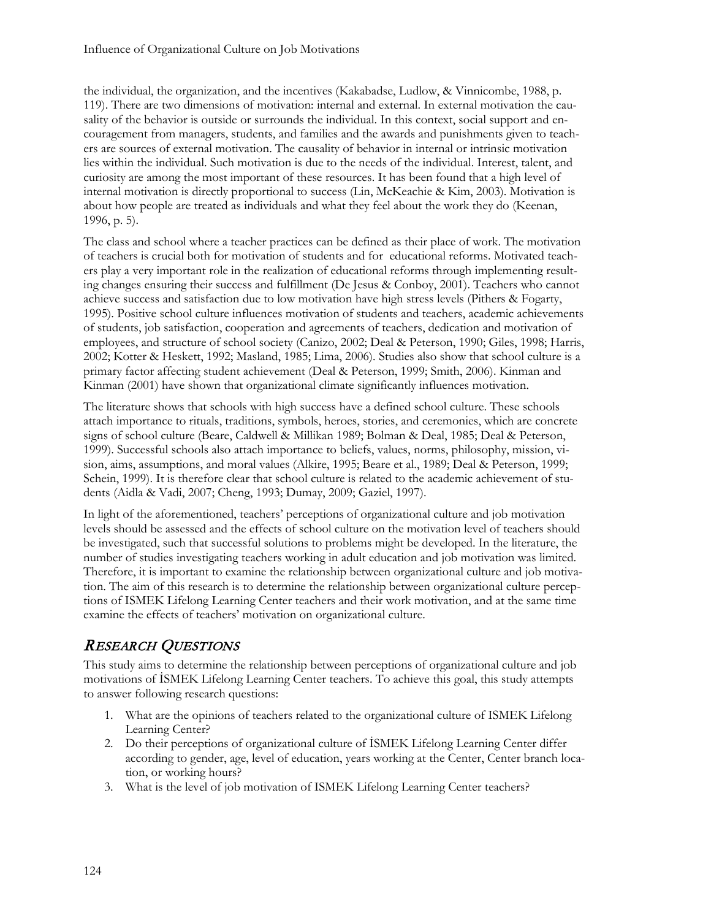the individual, the organization, and the incentives (Kakabadse, Ludlow, & Vinnicombe, 1988, p. 119). There are two dimensions of motivation: internal and external. In external motivation the causality of the behavior is outside or surrounds the individual. In this context, social support and encouragement from managers, students, and families and the awards and punishments given to teachers are sources of external motivation. The causality of behavior in internal or intrinsic motivation lies within the individual. Such motivation is due to the needs of the individual. Interest, talent, and curiosity are among the most important of these resources. It has been found that a high level of internal motivation is directly proportional to success (Lin, McKeachie & Kim, 2003). Motivation is about how people are treated as individuals and what they feel about the work they do (Keenan, 1996, p. 5).

The class and school where a teacher practices can be defined as their place of work. The motivation of teachers is crucial both for motivation of students and for educational reforms. Motivated teachers play a very important role in the realization of educational reforms through implementing resulting changes ensuring their success and fulfillment (De Jesus & Conboy, 2001). Teachers who cannot achieve success and satisfaction due to low motivation have high stress levels (Pithers & Fogarty, 1995). Positive school culture influences motivation of students and teachers, academic achievements of students, job satisfaction, cooperation and agreements of teachers, dedication and motivation of employees, and structure of school society (Canizo, 2002; Deal & Peterson, 1990; Giles, 1998; Harris, 2002; Kotter & Heskett, 1992; Masland, 1985; Lima, 2006). Studies also show that school culture is a primary factor affecting student achievement (Deal & Peterson, 1999; Smith, 2006). Kinman and Kinman (2001) have shown that organizational climate significantly influences motivation.

The literature shows that schools with high success have a defined school culture. These schools attach importance to rituals, traditions, symbols, heroes, stories, and ceremonies, which are concrete signs of school culture (Beare, Caldwell & Millikan 1989; Bolman & Deal, 1985; Deal & Peterson, 1999). Successful schools also attach importance to beliefs, values, norms, philosophy, mission, vision, aims, assumptions, and moral values (Alkire, 1995; Beare et al., 1989; Deal & Peterson, 1999; Schein, 1999). It is therefore clear that school culture is related to the academic achievement of students (Aidla & Vadi, 2007; Cheng, 1993; Dumay, 2009; Gaziel, 1997).

In light of the aforementioned, teachers' perceptions of organizational culture and job motivation levels should be assessed and the effects of school culture on the motivation level of teachers should be investigated, such that successful solutions to problems might be developed. In the literature, the number of studies investigating teachers working in adult education and job motivation was limited. Therefore, it is important to examine the relationship between organizational culture and job motivation. The aim of this research is to determine the relationship between organizational culture perceptions of ISMEK Lifelong Learning Center teachers and their work motivation, and at the same time examine the effects of teachers' motivation on organizational culture.

# RESEARCH QUESTIONS

This study aims to determine the relationship between perceptions of organizational culture and job motivations of İSMEK Lifelong Learning Center teachers. To achieve this goal, this study attempts to answer following research questions:

- 1. What are the opinions of teachers related to the organizational culture of ISMEK Lifelong Learning Center?
- 2. Do their perceptions of organizational culture of İSMEK Lifelong Learning Center differ according to gender, age, level of education, years working at the Center, Center branch location, or working hours?
- 3. What is the level of job motivation of ISMEK Lifelong Learning Center teachers?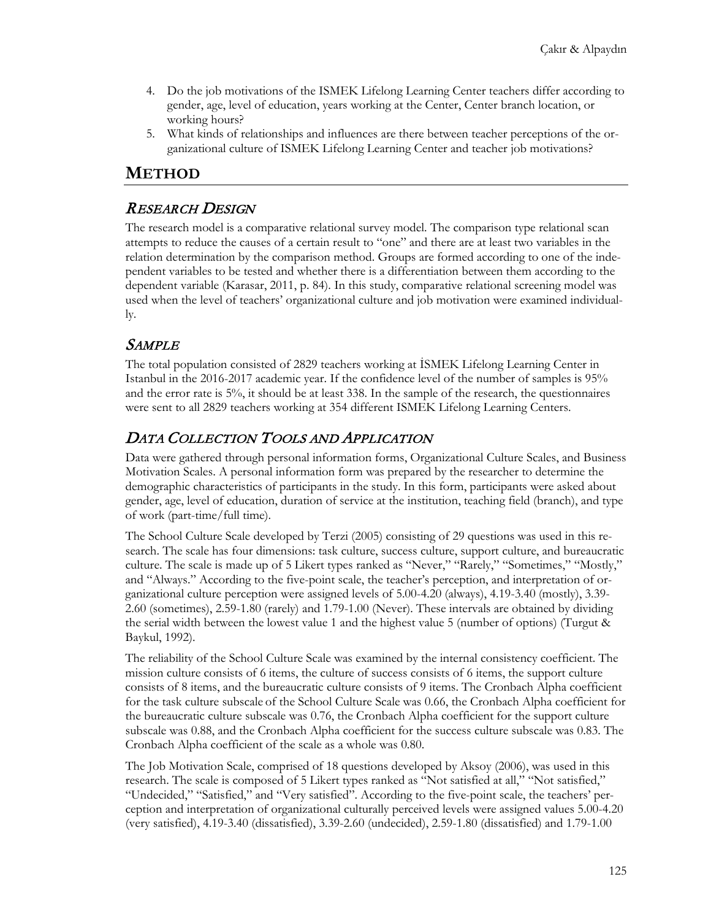- 4. Do the job motivations of the ISMEK Lifelong Learning Center teachers differ according to gender, age, level of education, years working at the Center, Center branch location, or working hours?
- 5. What kinds of relationships and influences are there between teacher perceptions of the organizational culture of ISMEK Lifelong Learning Center and teacher job motivations?

## **METHOD**

#### RESEARCH DESIGN

The research model is a comparative relational survey model. The comparison type relational scan attempts to reduce the causes of a certain result to "one" and there are at least two variables in the relation determination by the comparison method. Groups are formed according to one of the independent variables to be tested and whether there is a differentiation between them according to the dependent variable (Karasar, 2011, p. 84). In this study, comparative relational screening model was used when the level of teachers' organizational culture and job motivation were examined individually.

## **SAMPLE**

The total population consisted of 2829 teachers working at İSMEK Lifelong Learning Center in Istanbul in the 2016-2017 academic year. If the confidence level of the number of samples is 95% and the error rate is 5%, it should be at least 338. In the sample of the research, the questionnaires were sent to all 2829 teachers working at 354 different ISMEK Lifelong Learning Centers.

## DATA COLLECTION TOOLS AND APPLICATION

Data were gathered through personal information forms, Organizational Culture Scales, and Business Motivation Scales. A personal information form was prepared by the researcher to determine the demographic characteristics of participants in the study. In this form, participants were asked about gender, age, level of education, duration of service at the institution, teaching field (branch), and type of work (part-time/full time).

The School Culture Scale developed by Terzi (2005) consisting of 29 questions was used in this research. The scale has four dimensions: task culture, success culture, support culture, and bureaucratic culture. The scale is made up of 5 Likert types ranked as "Never," "Rarely," "Sometimes," "Mostly," and "Always." According to the five-point scale, the teacher's perception, and interpretation of organizational culture perception were assigned levels of 5.00-4.20 (always), 4.19-3.40 (mostly), 3.39- 2.60 (sometimes), 2.59-1.80 (rarely) and 1.79-1.00 (Never). These intervals are obtained by dividing the serial width between the lowest value 1 and the highest value 5 (number of options) (Turgut & Baykul, 1992).

The reliability of the School Culture Scale was examined by the internal consistency coefficient. The mission culture consists of 6 items, the culture of success consists of 6 items, the support culture consists of 8 items, and the bureaucratic culture consists of 9 items. The Cronbach Alpha coefficient for the task culture subscale of the School Culture Scale was 0.66, the Cronbach Alpha coefficient for the bureaucratic culture subscale was 0.76, the Cronbach Alpha coefficient for the support culture subscale was 0.88, and the Cronbach Alpha coefficient for the success culture subscale was 0.83. The Cronbach Alpha coefficient of the scale as a whole was 0.80.

The Job Motivation Scale, comprised of 18 questions developed by Aksoy (2006), was used in this research. The scale is composed of 5 Likert types ranked as "Not satisfied at all," "Not satisfied," "Undecided," "Satisfied," and "Very satisfied". According to the five-point scale, the teachers' perception and interpretation of organizational culturally perceived levels were assigned values 5.00-4.20 (very satisfied), 4.19-3.40 (dissatisfied), 3.39-2.60 (undecided), 2.59-1.80 (dissatisfied) and 1.79-1.00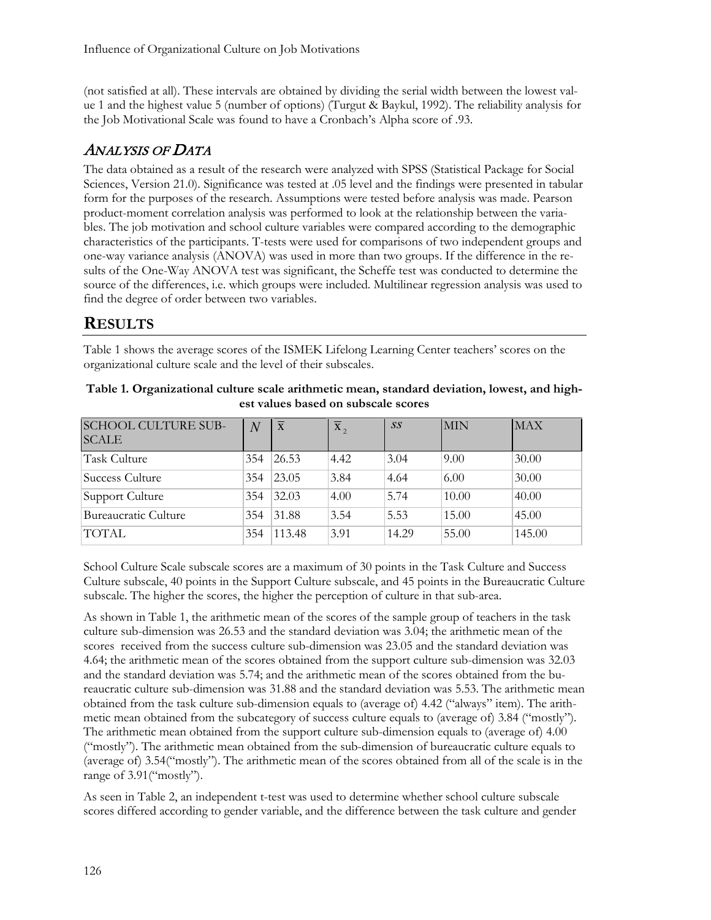(not satisfied at all). These intervals are obtained by dividing the serial width between the lowest value 1 and the highest value 5 (number of options) (Turgut & Baykul, 1992). The reliability analysis for the Job Motivational Scale was found to have a Cronbach's Alpha score of .93.

# ANALYSIS OF DATA

The data obtained as a result of the research were analyzed with SPSS (Statistical Package for Social Sciences, Version 21.0). Significance was tested at .05 level and the findings were presented in tabular form for the purposes of the research. Assumptions were tested before analysis was made. Pearson product-moment correlation analysis was performed to look at the relationship between the variables. The job motivation and school culture variables were compared according to the demographic characteristics of the participants. T-tests were used for comparisons of two independent groups and one-way variance analysis (ANOVA) was used in more than two groups. If the difference in the results of the One-Way ANOVA test was significant, the Scheffe test was conducted to determine the source of the differences, i.e. which groups were included. Multilinear regression analysis was used to find the degree of order between two variables.

# **RESULTS**

Table 1 shows the average scores of the ISMEK Lifelong Learning Center teachers' scores on the organizational culture scale and the level of their subscales.

| <b>SCHOOL CULTURE SUB-</b><br><b>SCALE</b> | $\overline{N}$ | $\overline{\mathbf{x}}$ | $\overline{\mathbf{X}}_2$ | SS    | MIN   | <b>MAX</b> |
|--------------------------------------------|----------------|-------------------------|---------------------------|-------|-------|------------|
| Task Culture                               | 354            | 26.53                   | 4.42                      | 3.04  | 9.00  | 30.00      |
| Success Culture                            | 354            | 23.05                   | 3.84                      | 4.64  | 6.00  | 30.00      |
| Support Culture                            | 354            | 32.03                   | 4.00                      | 5.74  | 10.00 | 40.00      |
| Bureaucratic Culture                       | 354            | 31.88                   | 3.54                      | 5.53  | 15.00 | 45.00      |
| <b>TOTAL</b>                               | 354            | 113.48                  | 3.91                      | 14.29 | 55.00 | 145.00     |

**Table 1. Organizational culture scale arithmetic mean, standard deviation, lowest, and highest values based on subscale scores**

School Culture Scale subscale scores are a maximum of 30 points in the Task Culture and Success Culture subscale, 40 points in the Support Culture subscale, and 45 points in the Bureaucratic Culture subscale. The higher the scores, the higher the perception of culture in that sub-area.

As shown in Table 1, the arithmetic mean of the scores of the sample group of teachers in the task culture sub-dimension was 26.53 and the standard deviation was 3.04; the arithmetic mean of the scores received from the success culture sub-dimension was 23.05 and the standard deviation was 4.64; the arithmetic mean of the scores obtained from the support culture sub-dimension was 32.03 and the standard deviation was 5.74; and the arithmetic mean of the scores obtained from the bureaucratic culture sub-dimension was 31.88 and the standard deviation was 5.53. The arithmetic mean obtained from the task culture sub-dimension equals to (average of) 4.42 ("always" item). The arithmetic mean obtained from the subcategory of success culture equals to (average of) 3.84 ("mostly"). The arithmetic mean obtained from the support culture sub-dimension equals to (average of) 4.00 ("mostly"). The arithmetic mean obtained from the sub-dimension of bureaucratic culture equals to (average of) 3.54("mostly"). The arithmetic mean of the scores obtained from all of the scale is in the range of 3.91("mostly").

As seen in Table 2, an independent t-test was used to determine whether school culture subscale scores differed according to gender variable, and the difference between the task culture and gender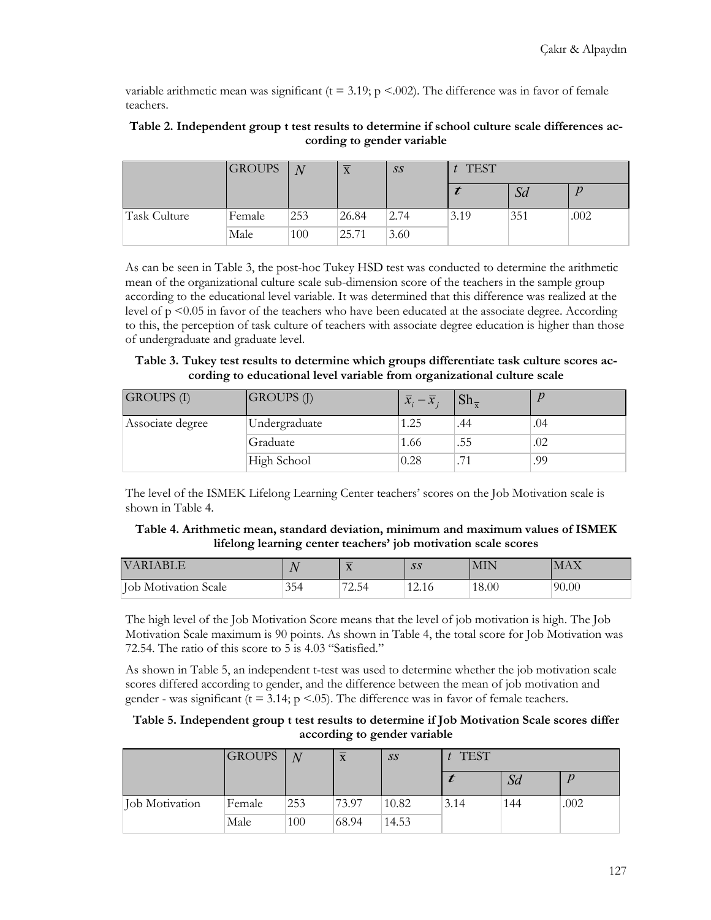variable arithmetic mean was significant ( $t = 3.19$ ;  $p < .002$ ). The difference was in favor of female teachers.

|              | <b>GROUPS</b> | $\overline{N}$ | $\overline{\mathbf{v}}$<br>$\Lambda$ | SS   | <b>TEST</b> |     |      |
|--------------|---------------|----------------|--------------------------------------|------|-------------|-----|------|
|              |               |                |                                      |      |             | Sd  |      |
| Task Culture | Female        | 253            | 26.84                                | 2.74 | 3.19        | 351 | .002 |
|              | Male          | 100            | 25.71                                | 3.60 |             |     |      |

#### **Table 2. Independent group t test results to determine if school culture scale differences according to gender variable**

As can be seen in Table 3, the post-hoc Tukey HSD test was conducted to determine the arithmetic mean of the organizational culture scale sub-dimension score of the teachers in the sample group according to the educational level variable. It was determined that this difference was realized at the level of  $p \le 0.05$  in favor of the teachers who have been educated at the associate degree. According to this, the perception of task culture of teachers with associate degree education is higher than those of undergraduate and graduate level.

| Table 3. Tukey test results to determine which groups differentiate task culture scores ac- |  |
|---------------------------------------------------------------------------------------------|--|
| cording to educational level variable from organizational culture scale                     |  |

| <b>GROUPS</b> (I) | GROUPS (J)    | $\overline{x}_{i} - \overline{x}_{i}$ | $\mathrm{Sh}_{\overline{v}}$ |     |
|-------------------|---------------|---------------------------------------|------------------------------|-----|
| Associate degree  | Undergraduate | 1.25                                  | .44                          | .04 |
|                   | Graduate      | 1.66                                  | .55                          | .02 |
|                   | High School   | 0.28                                  | $.7^\circ$                   | .99 |

The level of the ISMEK Lifelong Learning Center teachers' scores on the Job Motivation scale is shown in Table 4.

#### **Table 4. Arithmetic mean, standard deviation, minimum and maximum values of ISMEK lifelong learning center teachers' job motivation scale scores**

| <b>VARIABLE</b>             |     | _<br><b>ZX</b> | SS            | MIN   | MAX   |
|-----------------------------|-----|----------------|---------------|-------|-------|
| <b>Job Motivation Scale</b> | 354 | 72.54          | 1011<br>12.10 | 18.00 | 90.00 |

The high level of the Job Motivation Score means that the level of job motivation is high. The Job Motivation Scale maximum is 90 points. As shown in Table 4, the total score for Job Motivation was 72.54. The ratio of this score to 5 is 4.03 "Satisfied."

As shown in Table 5, an independent t-test was used to determine whether the job motivation scale scores differed according to gender, and the difference between the mean of job motivation and gender - was significant ( $t = 3.14$ ;  $p < 0.05$ ). The difference was in favor of female teachers.

#### **Table 5. Independent group t test results to determine if Job Motivation Scale scores differ according to gender variable**

|                | <b>GROUPS</b> | N   | $\Lambda$ | SS    | <b>TEST</b> |     |      |
|----------------|---------------|-----|-----------|-------|-------------|-----|------|
|                |               |     |           |       |             | Sd  |      |
| Job Motivation | Female        | 253 | 73.97     | 10.82 | 3.14        | 144 | .002 |
|                | Male          | 100 | 68.94     | 14.53 |             |     |      |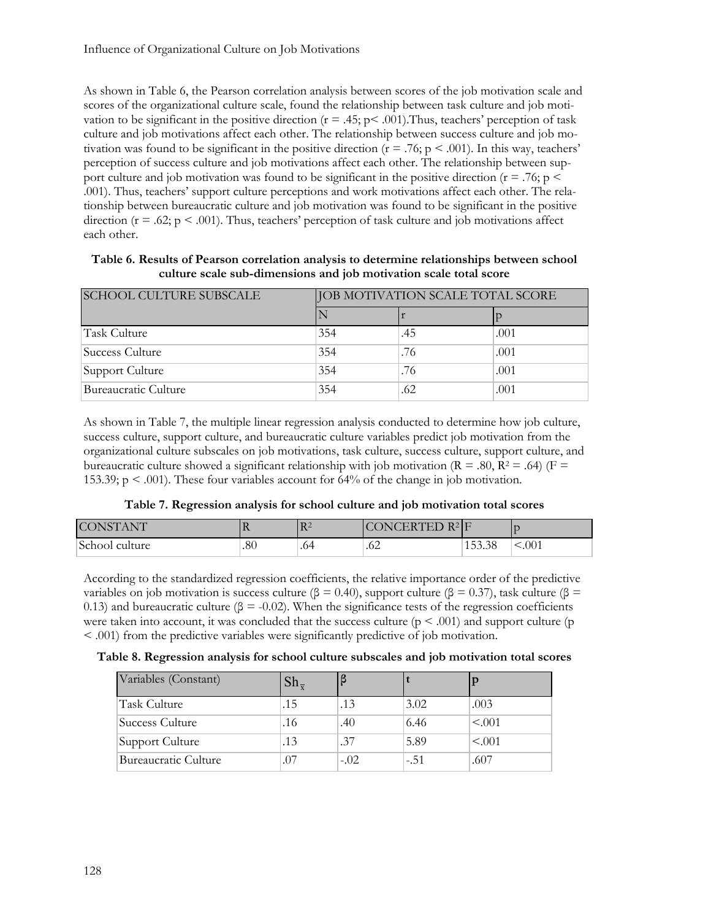As shown in Table 6, the Pearson correlation analysis between scores of the job motivation scale and scores of the organizational culture scale, found the relationship between task culture and job motivation to be significant in the positive direction ( $r = .45$ ;  $p < .001$ ). Thus, teachers' perception of task culture and job motivations affect each other. The relationship between success culture and job motivation was found to be significant in the positive direction  $(r = .76; p < .001)$ . In this way, teachers' perception of success culture and job motivations affect each other. The relationship between support culture and job motivation was found to be significant in the positive direction ( $r = .76$ ; p  $\le$ .001). Thus, teachers' support culture perceptions and work motivations affect each other. The relationship between bureaucratic culture and job motivation was found to be significant in the positive direction ( $r = .62$ ;  $p < .001$ ). Thus, teachers' perception of task culture and job motivations affect each other.

| Table 6. Results of Pearson correlation analysis to determine relationships between school |
|--------------------------------------------------------------------------------------------|
| culture scale sub-dimensions and job motivation scale total score                          |

| <b>SCHOOL CULTURE SUBSCALE</b> | <b>JOB MOTIVATION SCALE TOTAL SCORE</b> |     |      |  |
|--------------------------------|-----------------------------------------|-----|------|--|
|                                |                                         |     |      |  |
| Task Culture                   | 354                                     | .45 | .001 |  |
| Success Culture                | 354                                     | .76 | .001 |  |
| Support Culture                | 354                                     | .76 | .001 |  |
| Bureaucratic Culture           | 354                                     | .62 | .001 |  |

As shown in Table 7, the multiple linear regression analysis conducted to determine how job culture, success culture, support culture, and bureaucratic culture variables predict job motivation from the organizational culture subscales on job motivations, task culture, success culture, support culture, and bureaucratic culture showed a significant relationship with job motivation ( $R = .80$ ,  $R^2 = .64$ ) ( $F =$ 153.39;  $p < .001$ ). These four variables account for 64% of the change in job motivation.

#### **Table 7. Regression analysis for school culture and job motivation total scores**

| <b>CONSTANT</b> | -17 | $R^2$ | CONCERTED $R^2$ F |        |       |
|-----------------|-----|-------|-------------------|--------|-------|
| School culture  | .80 | .64   | .62               | 153.38 | <.001 |

According to the standardized regression coefficients, the relative importance order of the predictive variables on job motivation is success culture (β = 0.40), support culture (β = 0.37), task culture (β = 0.13) and bureaucratic culture ( $\beta = -0.02$ ). When the significance tests of the regression coefficients were taken into account, it was concluded that the success culture ( $p \le 0.001$ ) and support culture ( $p$ < .001) from the predictive variables were significantly predictive of job motivation.

|  |  |  |  |  |  |  |  | Table 8. Regression analysis for school culture subscales and job motivation total scores |  |  |
|--|--|--|--|--|--|--|--|-------------------------------------------------------------------------------------------|--|--|
|--|--|--|--|--|--|--|--|-------------------------------------------------------------------------------------------|--|--|

| Variables (Constant) | $\mathbf{D}$ II $\pm$ |        |        |         |
|----------------------|-----------------------|--------|--------|---------|
| Task Culture         | .15                   | .13    | 3.02   | .003    |
| Success Culture      | .16                   | .40    | 6.46   | < 0.001 |
| Support Culture      | .13                   | .37    | 5.89   | < 0.001 |
| Bureaucratic Culture | .07                   | $-.02$ | $-.51$ | .607    |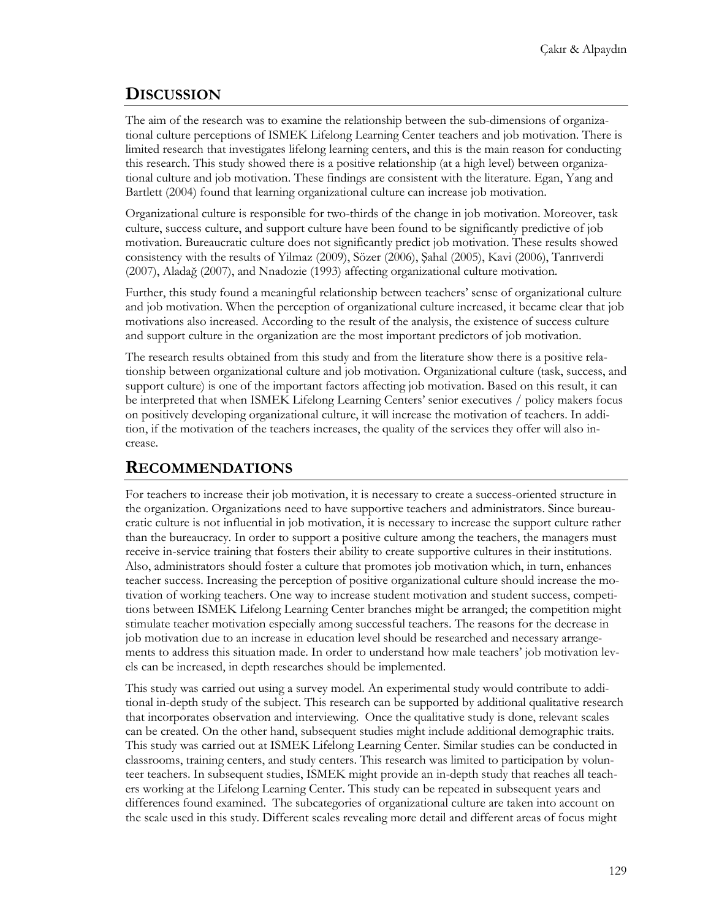# **DISCUSSION**

The aim of the research was to examine the relationship between the sub-dimensions of organizational culture perceptions of ISMEK Lifelong Learning Center teachers and job motivation. There is limited research that investigates lifelong learning centers, and this is the main reason for conducting this research. This study showed there is a positive relationship (at a high level) between organizational culture and job motivation. These findings are consistent with the literature. Egan, Yang and Bartlett (2004) found that learning organizational culture can increase job motivation.

Organizational culture is responsible for two-thirds of the change in job motivation. Moreover, task culture, success culture, and support culture have been found to be significantly predictive of job motivation. Bureaucratic culture does not significantly predict job motivation. These results showed consistency with the results of Yilmaz (2009), Sözer (2006), Şahal (2005), Kavi (2006), Tanrıverdi (2007), Aladağ (2007), and Nnadozie (1993) affecting organizational culture motivation.

Further, this study found a meaningful relationship between teachers' sense of organizational culture and job motivation. When the perception of organizational culture increased, it became clear that job motivations also increased. According to the result of the analysis, the existence of success culture and support culture in the organization are the most important predictors of job motivation.

The research results obtained from this study and from the literature show there is a positive relationship between organizational culture and job motivation. Organizational culture (task, success, and support culture) is one of the important factors affecting job motivation. Based on this result, it can be interpreted that when ISMEK Lifelong Learning Centers' senior executives / policy makers focus on positively developing organizational culture, it will increase the motivation of teachers. In addition, if the motivation of the teachers increases, the quality of the services they offer will also increase.

# **RECOMMENDATIONS**

For teachers to increase their job motivation, it is necessary to create a success-oriented structure in the organization. Organizations need to have supportive teachers and administrators. Since bureaucratic culture is not influential in job motivation, it is necessary to increase the support culture rather than the bureaucracy. In order to support a positive culture among the teachers, the managers must receive in-service training that fosters their ability to create supportive cultures in their institutions. Also, administrators should foster a culture that promotes job motivation which, in turn, enhances teacher success. Increasing the perception of positive organizational culture should increase the motivation of working teachers. One way to increase student motivation and student success, competitions between ISMEK Lifelong Learning Center branches might be arranged; the competition might stimulate teacher motivation especially among successful teachers. The reasons for the decrease in job motivation due to an increase in education level should be researched and necessary arrangements to address this situation made. In order to understand how male teachers' job motivation levels can be increased, in depth researches should be implemented.

This study was carried out using a survey model. An experimental study would contribute to additional in-depth study of the subject. This research can be supported by additional qualitative research that incorporates observation and interviewing. Once the qualitative study is done, relevant scales can be created. On the other hand, subsequent studies might include additional demographic traits. This study was carried out at ISMEK Lifelong Learning Center. Similar studies can be conducted in classrooms, training centers, and study centers. This research was limited to participation by volunteer teachers. In subsequent studies, ISMEK might provide an in-depth study that reaches all teachers working at the Lifelong Learning Center. This study can be repeated in subsequent years and differences found examined. The subcategories of organizational culture are taken into account on the scale used in this study. Different scales revealing more detail and different areas of focus might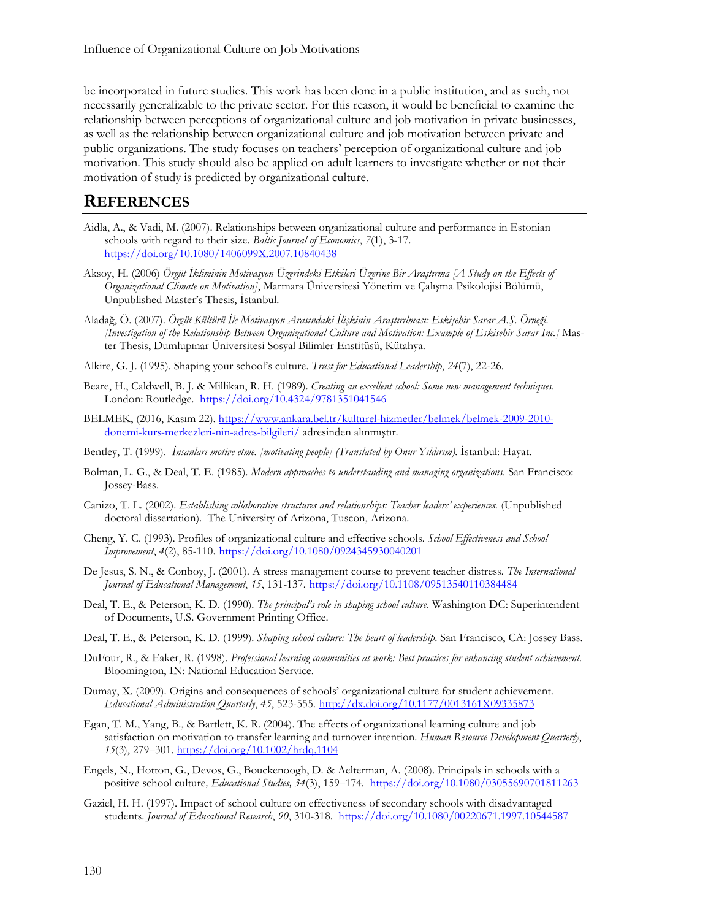be incorporated in future studies. This work has been done in a public institution, and as such, not necessarily generalizable to the private sector. For this reason, it would be beneficial to examine the relationship between perceptions of organizational culture and job motivation in private businesses, as well as the relationship between organizational culture and job motivation between private and public organizations. The study focuses on teachers' perception of organizational culture and job motivation. This study should also be applied on adult learners to investigate whether or not their motivation of study is predicted by organizational culture.

#### **REFERENCES**

- Aidla, A., & Vadi, M. (2007). Relationships between organizational culture and performance in Estonian schools with regard to their size. *Baltic Journal of Economics*, *7*(1), 3-17. <https://doi.org/10.1080/1406099X.2007.10840438>
- Aksoy, H. (2006) *Örgüt İkliminin Motivasyon Üzerindeki Etkileri Üzerine Bir Araştırma [A Study on the Effects of Organizational Climate on Motivation]*, Marmara Üniversitesi Yönetim ve Çalışma Psikolojisi Bölümü, Unpublished Master's Thesis, İstanbul.
- Aladağ, Ö. (2007). *Örgüt Kültürü İle Motivasyon Arasındaki İlişkinin Araştırılması: Eskişehir Sarar A.Ş. Örneği. [Investigation of the Relationship Between Organizational Culture and Motivation: Example of Eskisehir Sarar Inc.]* Master Thesis, Dumlupınar Üniversitesi Sosyal Bilimler Enstitüsü, Kütahya.
- Alkire, G. J. (1995). Shaping your school's culture. *Trust for Educational Leadership*, *24*(7), 22-26.
- Beare, H., Caldwell, B. J. & Millikan, R. H. (1989). *Creating an excellent school: Some new management techniques*. London: Routledge. <https://doi.org/10.4324/9781351041546>
- BELMEK, (2016, Kasım 22). [https://www.ankara.bel.tr/kulturel](https://www.ankara.bel.tr/kulturel-hizmetler/belmek/belmek-2009-2010-donemi-kurs-merkezleri-nin-adres-bilgileri/)-hizmetler/belmek/belmek-2009-2010 donemi-kurs-[merkezleri](https://www.ankara.bel.tr/kulturel-hizmetler/belmek/belmek-2009-2010-donemi-kurs-merkezleri-nin-adres-bilgileri/)-nin-adres-bilgileri/ adresinden alınmıştır.
- Bentley, T. (1999). *İnsanları motive etme. [motivating people] (Translated by Onur Yıldırım).* İstanbul: Hayat.
- Bolman, L. G., & Deal, T. E. (1985). *Modern approaches to understanding and managing organizations*. San Francisco: Jossey-Bass.
- Canizo, T. L. (2002). *Establishing collaborative structures and relationships: Teacher leaders' experiences.* (Unpublished doctoral dissertation). The University of Arizona, Tuscon, Arizona.
- Cheng, Y. C. (1993). Profiles of organizational culture and effective schools. *School Effectiveness and School Improvement*, *4*(2), 85-110. <https://doi.org/10.1080/0924345930040201>
- De Jesus, S. N., & Conboy, J. (2001). A stress management course to prevent teacher distress. *The International Journal of Educational Management*, *15*, 131-137. <https://doi.org/10.1108/09513540110384484>
- Deal, T. E., & Peterson, K. D. (1990). *The principal's role in shaping school culture*. Washington DC: Superintendent of Documents, U.S. Government Printing Office.
- Deal, T. E., & Peterson, K. D. (1999). *Shaping school culture: The heart of leadership*. San Francisco, CA: Jossey Bass.
- DuFour, R., & Eaker, R. (1998). *Professional learning communities at work: Best practices for enhancing student achievement.* Bloomington, IN: National Education Service.
- Dumay, X. (2009). Origins and consequences of schools' organizational culture for student achievement. *Educational Administration Quarterly*, *45*, 523-555. [http://dx.doi.org/10.1177/0013161X09335873](https://psycnet.apa.org/doi/10.1177/0013161X09335873)
- Egan, T. M., Yang, B., & Bartlett, K. R. (2004). The effects of organizational learning culture and job satisfaction on motivation to transfer learning and turnover intention. *Human Resource Development Quarterly*, *15*(3), 279–301. <https://doi.org/10.1002/hrdq.1104>
- Engels, N., Hotton, G., Devos, G., Bouckenoogh, D. & Aelterman, A. (2008). Principals in schools with a positive school culture*, Educational Studies, 34*(3), 159–174*.* <https://doi.org/10.1080/03055690701811263>
- Gaziel, H. H. (1997). Impact of school culture on effectiveness of secondary schools with disadvantaged students. *Journal of Educational Research*, *90*, 310-318. <https://doi.org/10.1080/00220671.1997.10544587>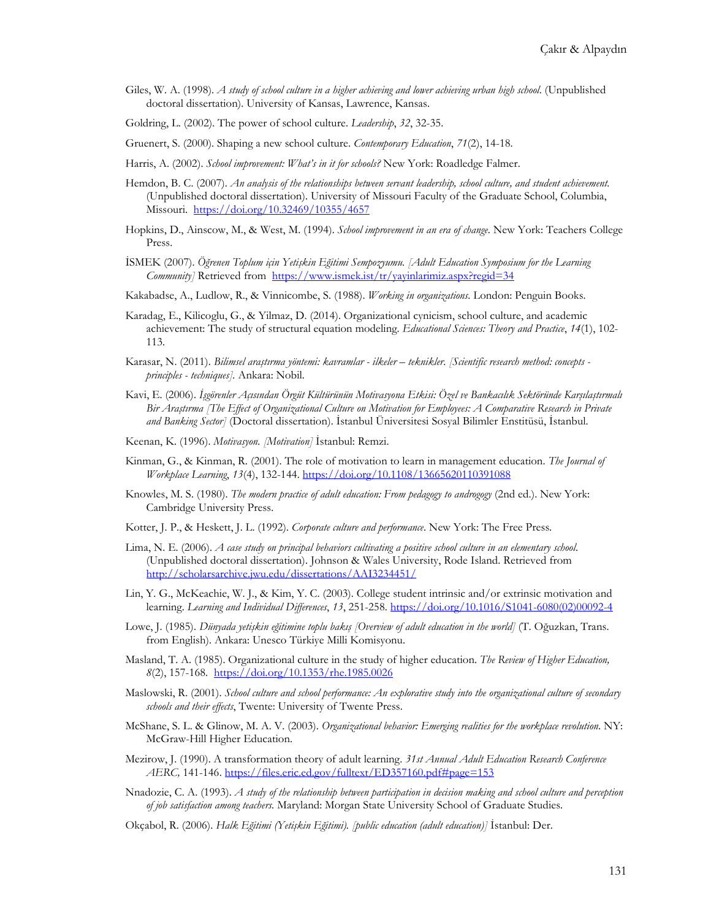- Giles, W. A. (1998). *A study of school culture in a higher achieving and lower achieving urban high school*. (Unpublished doctoral dissertation). University of Kansas, Lawrence, Kansas.
- Goldring, L. (2002). The power of school culture. *Leadership*, *32*, 32-35.
- Gruenert, S. (2000). Shaping a new school culture. *Contemporary Education*, *71*(2), 14-18.
- Harris, A. (2002). *School improvement: What's in it for schools?* New York: Roadledge Falmer.
- Hemdon, B. C. (2007). *An analysis of the relationships between servant leadership, school culture, and student achievement.*  (Unpublished doctoral dissertation). University of Missouri Faculty of the Graduate School, Columbia, Missouri. <https://doi.org/10.32469/10355/4657>
- Hopkins, D., Ainscow, M., & West, M. (1994). *School improvement in an era of change*. New York: Teachers College Press.
- İSMEK (2007). *Öğrenen Toplum için Yetişkin Eğitimi Sempozyumu. [Adult Education Symposium for the Learning Community]* Retrieved from <https://www.ismek.ist/tr/yayinlarimiz.aspx?regid=34>
- Kakabadse, A., Ludlow, R., & Vinnicombe, S. (1988). *Working in organizations.* London: Penguin Books.
- Karadag, E., Kilicoglu, G., & Yilmaz, D. (2014). Organizational cynicism, school culture, and academic achievement: The study of structural equation modeling. *Educational Sciences: Theory and Practice*, *14*(1), 102- 113.
- Karasar, N. (2011). *Bilimsel araştırma yöntemi: kavramlar - ilkeler – teknikler. [Scientific research method: concepts principles - techniques].* Ankara: Nobil.
- Kavi, E. (2006). *İşgörenler Açısından Örgüt Kültürünün Motivasyona Etkisi: Özel ve Bankacılık Sektöründe Karşılaştırmalı Bir Araştırma [The Effect of Organizational Culture on Motivation for Employees: A Comparative Research in Private and Banking Sector]* (Doctoral dissertation). İstanbul Üniversitesi Sosyal Bilimler Enstitüsü, İstanbul.
- Keenan, K. (1996). *Motivasyon. [Motivation]* İstanbul: Remzi.
- Kinman, G., & Kinman, R. (2001). The role of motivation to learn in management education. *The Journal of Workplace Learning*, *13*(4), 132-144. <https://doi.org/10.1108/13665620110391088>
- Knowles, M. S. (1980). *The modern practice of adult education: From pedagogy to androgogy* (2nd ed.). New York: Cambridge University Press.
- Kotter, J. P., & Heskett, J. L. (1992). *Corporate culture and performance*. New York: The Free Press.
- Lima, N. E. (2006). *A case study on principal behaviors cultivating a positive school culture in an elementary school*. (Unpublished doctoral dissertation). Johnson & Wales University, Rode Island. Retrieved from <http://scholarsarchive.jwu.edu/dissertations/AAI3234451/>
- Lin, Y. G., McKeachie, W. J., & Kim, Y. C. (2003). College student intrinsic and/or extrinsic motivation and learning. *Learning and Individual Differences*, *13*, 251-258. [https://doi.org/10.1016/S1041](https://doi.org/10.1016/S1041-6080(02)00092-4)-6080(02)00092-4
- Lowe, J. (1985). *Dünyada yetişkin eğitimine toplu bakış [Overview of adult education in the world]* (T. Oğuzkan, Trans. from English). Ankara: Unesco Türkiye Milli Komisyonu.
- Masland, T. A. (1985). Organizational culture in the study of higher education. *The Review of Higher Education, 8*(2), 157-168. <https://doi.org/10.1353/rhe.1985.0026>
- Maslowski, R. (2001). *School culture and school performance: An explorative study into the organizational culture of secondary schools and their effects*, Twente: University of Twente Press.
- McShane, S. L. & Glinow, M. A. V. (2003). *Organizational behavior: Emerging realities for the workplace revolution*. NY: McGraw-Hill Higher Education.
- Mezirow, J. (1990). A transformation theory of adult learning. *31st Annual Adult Education Research Conference AERC,* 141-146. <https://files.eric.ed.gov/fulltext/ED357160.pdf#page=153>
- Nnadozie, C. A. (1993). *A study of the relationship between participation in decision making and school culture and perception of job satisfaction among teachers.* Maryland: Morgan State University School of Graduate Studies.
- Okçabol, R. (2006). *Halk Eğitimi (Yetişkin Eğitimi). [public education (adult education)]* İstanbul: Der.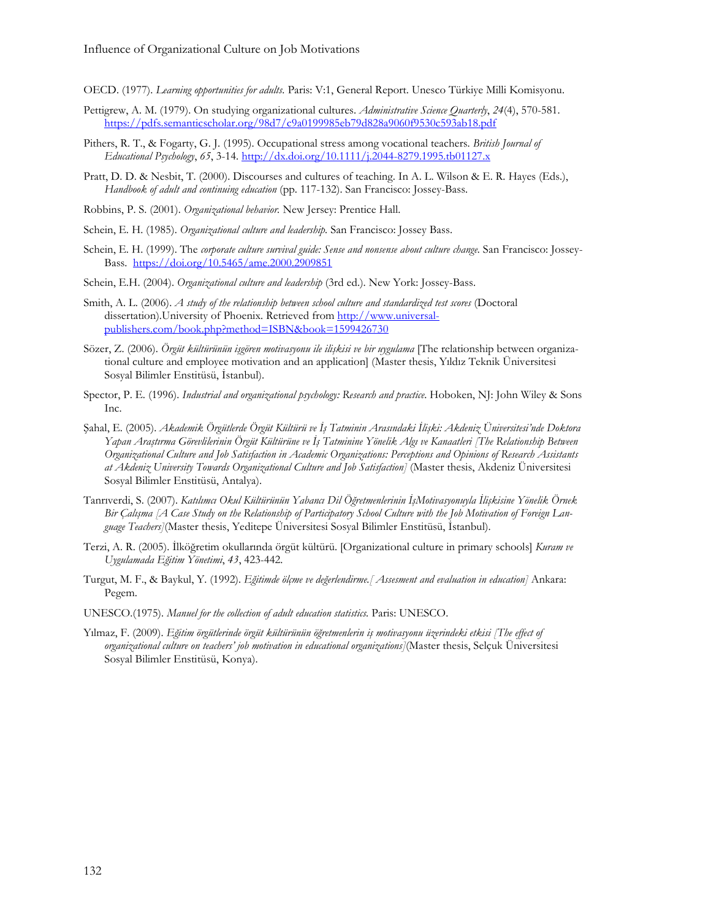- OECD. (1977). *Learning opportunities for adults.* Paris: V:1, General Report. Unesco Türkiye Milli Komisyonu.
- Pettigrew, A. M. (1979). On studying organizational cultures. *Administrative Science Quarterly*, *24*(4), 570-581. <https://pdfs.semanticscholar.org/98d7/c9a0199985eb79d828a9060f9530c593ab18.pdf>
- Pithers, R. T., & Fogarty, G. J. (1995). Occupational stress among vocational teachers. *British Journal of Educational Psychology*, *65*, 3-14. [http://dx.doi.org/10.1111/j.2044](https://psycnet.apa.org/doi/10.1111/j.2044-8279.1995.tb01127.x)-8279.1995.tb01127.x
- Pratt, D. D. & Nesbit, T. (2000). Discourses and cultures of teaching. In A. L. Wilson & E. R. Hayes (Eds.), *Handbook of adult and continuing education* (pp. 117-132). San Francisco: Jossey-Bass.
- Robbins, P. S. (2001). *Organizational behavior.* New Jersey: Prentice Hall.
- Schein, E. H. (1985). *Organizational culture and leadership.* San Francisco: Jossey Bass.
- Schein, E. H. (1999). The *corporate culture survival guide: Sense and nonsense about culture change.* San Francisco: Jossey-Bass. <https://doi.org/10.5465/ame.2000.2909851>
- Schein, E.H. (2004). *Organizational culture and leadership* (3rd ed.). New York: Jossey-Bass.
- Smith, A. L. (2006). *A study of the relationship between school culture and standardized test scores* (Doctoral dissertation).University of Phoenix. Retrieved from [http://www.universal](http://www.universal-publishers.com/book.php?method=ISBN&book=1599426730)[publishers.com/book.php?method=ISBN&book=1599426730](http://www.universal-publishers.com/book.php?method=ISBN&book=1599426730)
- Sözer, Z. (2006). *Örgüt kültürünün işgören motivasyonu ile ilişkisi ve bir uygulama* [The relationship between organizational culture and employee motivation and an application] (Master thesis, Yıldız Teknik Üniversitesi Sosyal Bilimler Enstitüsü, İstanbul).
- Spector, P. E. (1996). *Industrial and organizational psychology: Research and practice*. Hoboken, NJ: John Wiley & Sons Inc.
- Şahal, E. (2005). *Akademik Örgütlerde Örgüt Kültürü ve İş Tatminin Arasındaki İlişki: Akdeniz Üniversitesi'nde Doktora Yapan Araştırma Görevlilerinin Örgüt Kültürüne ve İş Tatminine Yönelik Algı ve Kanaatleri [The Relationship Between Organizational Culture and Job Satisfaction in Academic Organizations: Perceptions and Opinions of Research Assistants at Akdeniz University Towards Organizational Culture and Job Satisfaction]* (Master thesis, Akdeniz Üniversitesi Sosyal Bilimler Enstitüsü, Antalya).
- Tanrıverdi, S. (2007). *Katılımcı Okul Kültürünün Yabancı Dil Öğretmenlerinin İşMotivasyonuyla İlişkisine Yönelik Örnek*  Bir Calışma [A Case Study on the Relationship of Participatory School Culture with the Job Motivation of Foreign Lan*guage Teachers]*(Master thesis, Yeditepe Üniversitesi Sosyal Bilimler Enstitüsü, İstanbul).
- Terzi, A. R. (2005). İlköğretim okullarında örgüt kültürü. [Organizational culture in primary schools] *Kuram ve Uygulamada Eğitim Yönetimi*, *43*, 423-442.
- Turgut, M. F., & Baykul, Y. (1992). *Eğitimde ölçme ve değerlendirme.[ Assesment and evaluation in education]* Ankara: Pegem.
- UNESCO.(1975). *Manuel for the collection of adult education statistics.* Paris: UNESCO.
- Yılmaz, F. (2009). *Eğitim örgütlerinde örgüt kültürünün öğretmenlerin iş motivasyonu üzerindeki etkisi [The effect of organizational culture on teachers' job motivation in educational organizations]*(Master thesis, Selçuk Üniversitesi Sosyal Bilimler Enstitüsü, Konya).